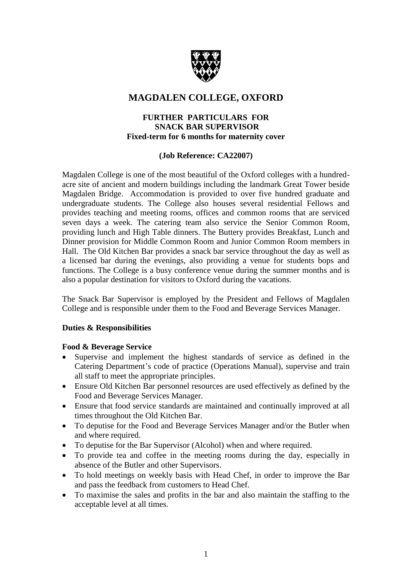

# **MAGDALEN COLLEGE, OXFORD**

## **FURTHER PARTICULARS FOR SNACK BAR SUPERVISOR Fixed-term for 6 months for maternity cover**

# **(Job Reference: CA22007)**

Magdalen College is one of the most beautiful of the Oxford colleges with a hundredacre site of ancient and modern buildings including the landmark Great Tower beside Magdalen Bridge. Accommodation is provided to over five hundred graduate and undergraduate students. The College also houses several residential Fellows and provides teaching and meeting rooms, offices and common rooms that are serviced seven days a week. The catering team also service the Senior Common Room, providing lunch and High Table dinners. The Buttery provides Breakfast, Lunch and Dinner provision for Middle Common Room and Junior Common Room members in Hall. The Old Kitchen Bar provides a snack bar service throughout the day as well as a licensed bar during the evenings, also providing a venue for students bops and functions. The College is a busy conference venue during the summer months and is also a popular destination for visitors to Oxford during the vacations.

The Snack Bar Supervisor is employed by the President and Fellows of Magdalen College and is responsible under them to the Food and Beverage Services Manager.

# **Duties & Responsibilities**

## **Food & Beverage Service**

- Supervise and implement the highest standards of service as defined in the Catering Department's code of practice (Operations Manual), supervise and train all staff to meet the appropriate principles.
- Ensure Old Kitchen Bar personnel resources are used effectively as defined by the Food and Beverage Services Manager.
- Ensure that food service standards are maintained and continually improved at all times throughout the Old Kitchen Bar.
- To deputise for the Food and Beverage Services Manager and/or the Butler when and where required.
- To deputise for the Bar Supervisor (Alcohol) when and where required.
- To provide tea and coffee in the meeting rooms during the day, especially in absence of the Butler and other Supervisors.
- To hold meetings on weekly basis with Head Chef, in order to improve the Bar and pass the feedback from customers to Head Chef.
- To maximise the sales and profits in the bar and also maintain the staffing to the acceptable level at all times.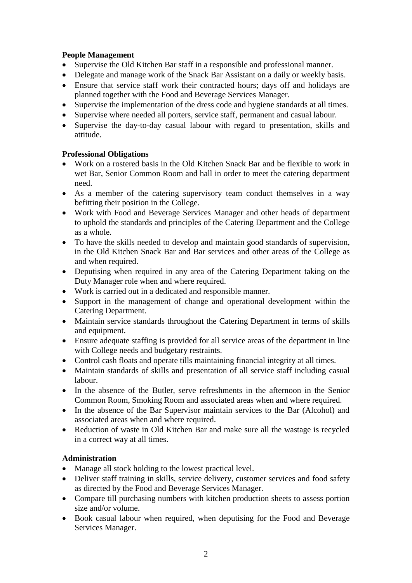# **People Management**

- Supervise the Old Kitchen Bar staff in a responsible and professional manner.
- Delegate and manage work of the Snack Bar Assistant on a daily or weekly basis.
- Ensure that service staff work their contracted hours; days off and holidays are planned together with the Food and Beverage Services Manager.
- Supervise the implementation of the dress code and hygiene standards at all times.
- Supervise where needed all porters, service staff, permanent and casual labour.
- Supervise the day-to-day casual labour with regard to presentation, skills and attitude.

# **Professional Obligations**

- Work on a rostered basis in the Old Kitchen Snack Bar and be flexible to work in wet Bar, Senior Common Room and hall in order to meet the catering department need.
- As a member of the catering supervisory team conduct themselves in a way befitting their position in the College.
- Work with Food and Beverage Services Manager and other heads of department to uphold the standards and principles of the Catering Department and the College as a whole.
- To have the skills needed to develop and maintain good standards of supervision, in the Old Kitchen Snack Bar and Bar services and other areas of the College as and when required.
- Deputising when required in any area of the Catering Department taking on the Duty Manager role when and where required.
- Work is carried out in a dedicated and responsible manner.
- Support in the management of change and operational development within the Catering Department.
- Maintain service standards throughout the Catering Department in terms of skills and equipment.
- Ensure adequate staffing is provided for all service areas of the department in line with College needs and budgetary restraints.
- Control cash floats and operate tills maintaining financial integrity at all times.
- Maintain standards of skills and presentation of all service staff including casual labour.
- In the absence of the Butler, serve refreshments in the afternoon in the Senior Common Room, Smoking Room and associated areas when and where required.
- In the absence of the Bar Supervisor maintain services to the Bar (Alcohol) and associated areas when and where required.
- Reduction of waste in Old Kitchen Bar and make sure all the wastage is recycled in a correct way at all times.

# **Administration**

- Manage all stock holding to the lowest practical level.
- Deliver staff training in skills, service delivery, customer services and food safety as directed by the Food and Beverage Services Manager.
- Compare till purchasing numbers with kitchen production sheets to assess portion size and/or volume.
- Book casual labour when required, when deputising for the Food and Beverage Services Manager.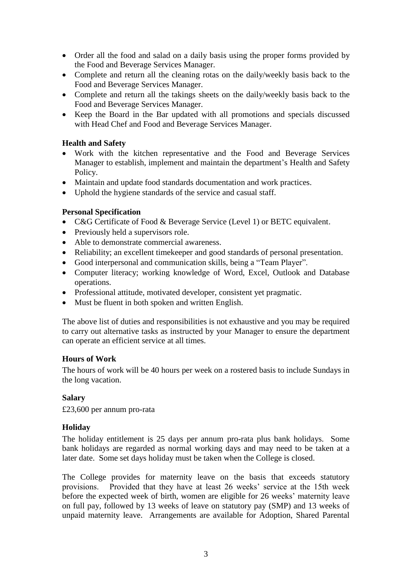- Order all the food and salad on a daily basis using the proper forms provided by the Food and Beverage Services Manager.
- Complete and return all the cleaning rotas on the daily/weekly basis back to the Food and Beverage Services Manager.
- Complete and return all the takings sheets on the daily/weekly basis back to the Food and Beverage Services Manager.
- Keep the Board in the Bar updated with all promotions and specials discussed with Head Chef and Food and Beverage Services Manager.

## **Health and Safety**

- Work with the kitchen representative and the Food and Beverage Services Manager to establish, implement and maintain the department's Health and Safety Policy.
- Maintain and update food standards documentation and work practices.
- Uphold the hygiene standards of the service and casual staff.

## **Personal Specification**

- C&G Certificate of Food & Beverage Service (Level 1) or BETC equivalent.
- Previously held a supervisors role.
- Able to demonstrate commercial awareness.
- Reliability; an excellent timekeeper and good standards of personal presentation.
- Good interpersonal and communication skills, being a "Team Player".
- Computer literacy; working knowledge of Word, Excel, Outlook and Database operations.
- Professional attitude, motivated developer, consistent yet pragmatic.
- Must be fluent in both spoken and written English.

The above list of duties and responsibilities is not exhaustive and you may be required to carry out alternative tasks as instructed by your Manager to ensure the department can operate an efficient service at all times.

## **Hours of Work**

The hours of work will be 40 hours per week on a rostered basis to include Sundays in the long vacation.

## **Salary**

£23,600 per annum pro-rata

## **Holiday**

The holiday entitlement is 25 days per annum pro-rata plus bank holidays. Some bank holidays are regarded as normal working days and may need to be taken at a later date. Some set days holiday must be taken when the College is closed.

The College provides for maternity leave on the basis that exceeds statutory provisions. Provided that they have at least 26 weeks' service at the 15th week before the expected week of birth, women are eligible for 26 weeks' maternity leave on full pay, followed by 13 weeks of leave on statutory pay (SMP) and 13 weeks of unpaid maternity leave. Arrangements are available for Adoption, Shared Parental